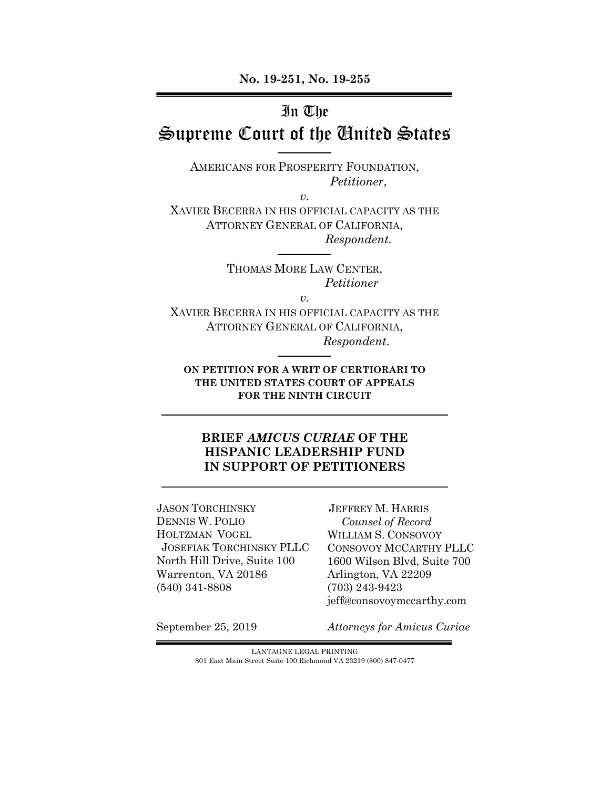**No. 19-251, No. 19-255** 

# In The

# Supreme Court of the United States

AMERICANS FOR PROSPERITY FOUNDATION, *Petitioner*,

*v.*

XAVIER BECERRA IN HIS OFFICIAL CAPACITY AS THE ATTORNEY GENERAL OF CALIFORNIA, *Respondent.* 

> THOMAS MORE LAW CENTER, *Petitioner*

> > *v.*

XAVIER BECERRA IN HIS OFFICIAL CAPACITY AS THE ATTORNEY GENERAL OF CALIFORNIA, *Respondent*.

**ON PETITION FOR A WRIT OF CERTIORARI TO THE UNITED STATES COURT OF APPEALS FOR THE NINTH CIRCUIT**

### **BRIEF** *AMICUS CURIAE* **OF THE HISPANIC LEADERSHIP FUND IN SUPPORT OF PETITIONERS**

JASON TORCHINSKY DENNIS W. POLIO HOLTZMAN VOGEL JOSEFIAK TORCHINSKY PLLC North Hill Drive, Suite 100 Warrenton, VA 20186 (540) 341-8808

JEFFREY M. HARRIS *Counsel of Record* WILLIAM S. CONSOVOY CONSOVOY MCCARTHY PLLC 1600 Wilson Blvd, Suite 700 Arlington, VA 22209 (703) 243-9423 jeff@consovoymccarthy.com

September 25, 2019

*Attorneys for Amicus Curiae* 

LANTAGNE LEGAL PRINTING 801 East Main Street Suite 100 Richmond VA 23219 (800) 847-0477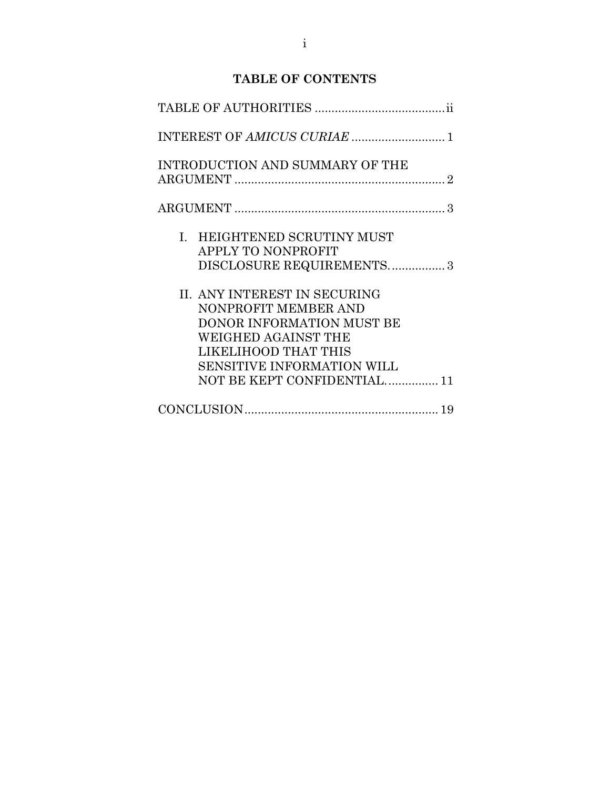### **TABLE OF CONTENTS**

| INTEREST OF AMICUS CURIAE  1                                                                                                                                                                         |
|------------------------------------------------------------------------------------------------------------------------------------------------------------------------------------------------------|
| INTRODUCTION AND SUMMARY OF THE                                                                                                                                                                      |
|                                                                                                                                                                                                      |
| I. HEIGHTENED SCRUTINY MUST<br>APPLY TO NONPROFIT<br>DISCLOSURE REQUIREMENTS3                                                                                                                        |
| II. ANY INTEREST IN SECURING<br>NONPROFIT MEMBER AND<br>DONOR INFORMATION MUST BE<br>WEIGHED AGAINST THE<br>LIKELIHOOD THAT THIS<br><b>SENSITIVE INFORMATION WILL</b><br>NOT BE KEPT CONFIDENTIAL 11 |
|                                                                                                                                                                                                      |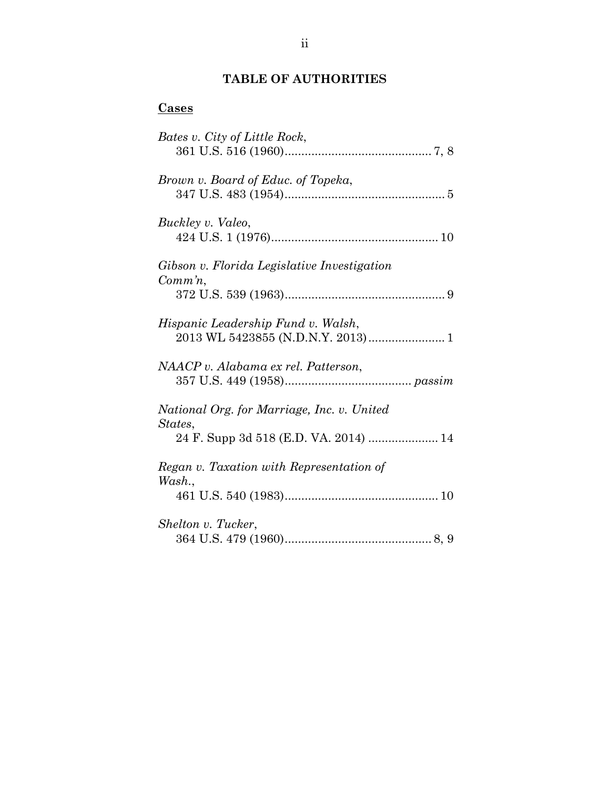# **TABLE OF AUTHORITIES**

# **Cases**

| Bates v. City of Little Rock,                                                                  |
|------------------------------------------------------------------------------------------------|
| Brown v. Board of Educ. of Topeka,                                                             |
| Buckley v. Valeo,                                                                              |
| Gibson v. Florida Legislative Investigation<br>$Comm\, n$ ,                                    |
| Hispanic Leadership Fund v. Walsh,                                                             |
| NAACP v. Alabama ex rel. Patterson,                                                            |
| National Org. for Marriage, Inc. v. United<br>States,<br>24 F. Supp 3d 518 (E.D. VA. 2014)  14 |
| Regan v. Taxation with Representation of<br>Wash.                                              |
| Shelton v. Tucker,                                                                             |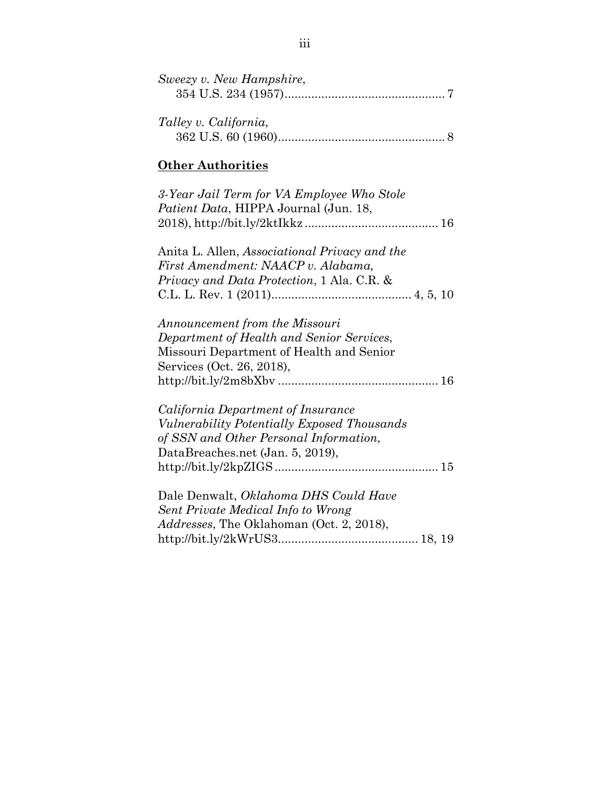| Sweezy v. New Hampshire, |  |
|--------------------------|--|
|                          |  |
|                          |  |
| Talley v. California,    |  |
|                          |  |

#### **Other Authorities**

| 3-Year Jail Term for VA Employee Who Stole |  |
|--------------------------------------------|--|
| Patient Data, HIPPA Journal (Jun. 18,      |  |
|                                            |  |

Anita L. Allen, *Associational Privacy and the First Amendment: NAACP v. Alabama, Privacy and Data Protection*, 1 Ala. C.R. & C.L. L. Rev. 1 (2011).......................................... 4, 5, 10

*Announcement from the Missouri Department of Health and Senior Services*, Missouri Department of Health and Senior Services (Oct. 26, 2018), http://bit.ly/2m8bXbv ................................................ 16

*California Department of Insurance Vulnerability Potentially Exposed Thousands of SSN and Other Personal Information*, DataBreaches.net (Jan. 5, 2019), http://bit.ly/2kpZIGS ................................................. 15

| Dale Denwalt, Oklahoma DHS Could Have            |  |
|--------------------------------------------------|--|
| Sent Private Medical Info to Wrong               |  |
| <i>Addresses</i> , The Oklahoman (Oct. 2, 2018), |  |
|                                                  |  |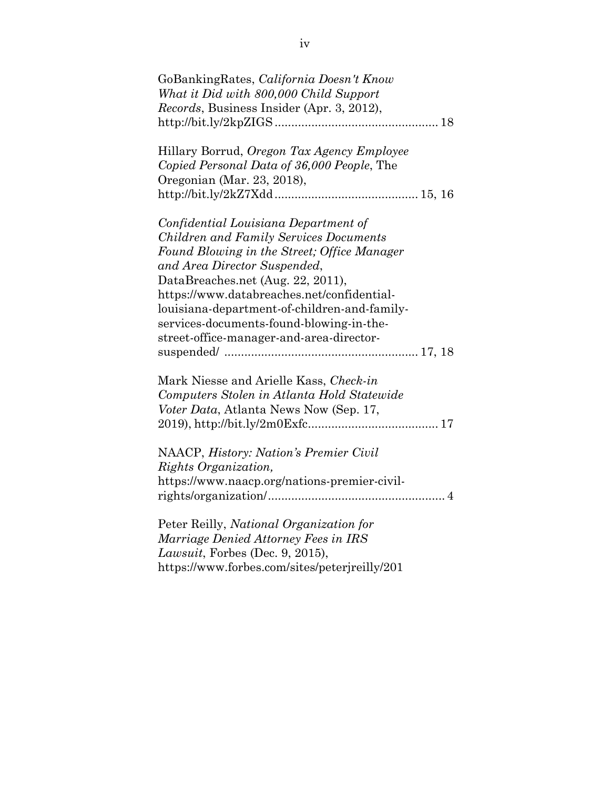| GoBankingRates, California Doesn't Know<br>What it Did with 800,000 Child Support<br>Records, Business Insider (Apr. 3, 2012),                                                                                                                                                                                                                                                                  |
|-------------------------------------------------------------------------------------------------------------------------------------------------------------------------------------------------------------------------------------------------------------------------------------------------------------------------------------------------------------------------------------------------|
| Hillary Borrud, Oregon Tax Agency Employee<br>Copied Personal Data of 36,000 People, The<br>Oregonian (Mar. 23, 2018),                                                                                                                                                                                                                                                                          |
| Confidential Louisiana Department of<br><b>Children and Family Services Documents</b><br>Found Blowing in the Street; Office Manager<br>and Area Director Suspended,<br>DataBreaches.net (Aug. 22, 2011),<br>https://www.databreaches.net/confidential-<br>louisiana-department-of-children-and-family-<br>services-documents-found-blowing-in-the-<br>street-office-manager-and-area-director- |
| Mark Niesse and Arielle Kass, Check-in<br>Computers Stolen in Atlanta Hold Statewide<br>Voter Data, Atlanta News Now (Sep. 17,                                                                                                                                                                                                                                                                  |
| NAACP, History: Nation's Premier Civil<br>Rights Organization,<br>https://www.naacp.org/nations-premier-civil-                                                                                                                                                                                                                                                                                  |
| Peter Reilly, National Organization for<br>Marriage Denied Attorney Fees in IRS<br>Lawsuit, Forbes (Dec. 9, 2015),<br>https://www.forbes.com/sites/peterjreilly/201                                                                                                                                                                                                                             |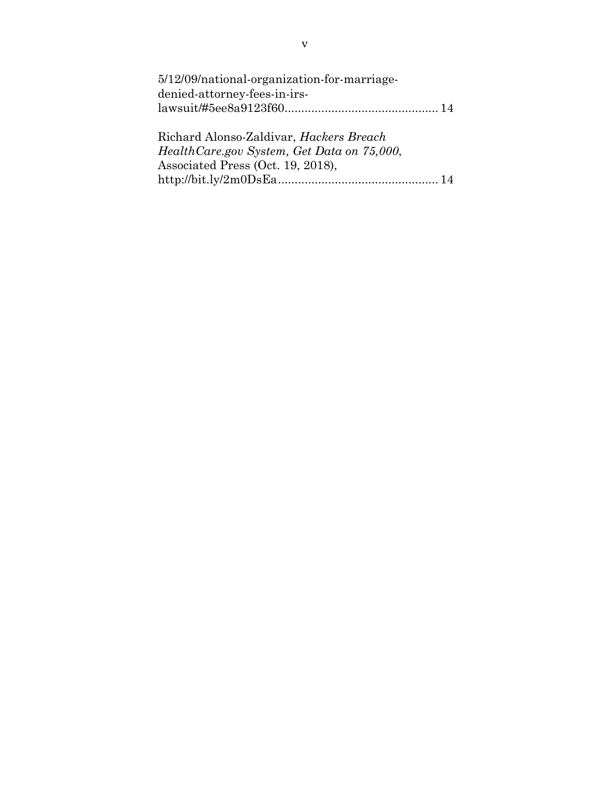| 5/12/09/national-organization-for-marriage- |  |
|---------------------------------------------|--|
| denied-attorney-fees-in-irs-                |  |
|                                             |  |

Richard Alonso-Zaldivar, *Hackers Breach HealthCare.gov System, Get Data on 75,000*, Associated Press (Oct. 19, 2018), http://bit.ly/2m0DsEa ................................................ 14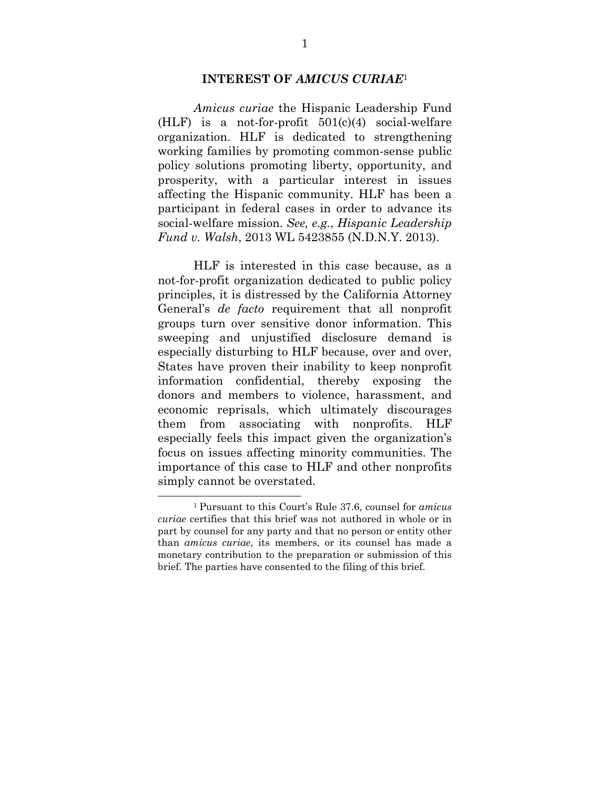#### **INTEREST OF** *AMICUS CURIAE*<sup>1</sup>

 *Amicus curiae* the Hispanic Leadership Fund (HLF) is a not-for-profit  $501(c)(4)$  social-welfare organization. HLF is dedicated to strengthening working families by promoting common-sense public policy solutions promoting liberty, opportunity, and prosperity, with a particular interest in issues affecting the Hispanic community. HLF has been a participant in federal cases in order to advance its social-welfare mission. *See, e.g.*, *Hispanic Leadership Fund v. Walsh*, 2013 WL 5423855 (N.D.N.Y. 2013).

 HLF is interested in this case because, as a not-for-profit organization dedicated to public policy principles, it is distressed by the California Attorney General's *de facto* requirement that all nonprofit groups turn over sensitive donor information. This sweeping and unjustified disclosure demand is especially disturbing to HLF because, over and over, States have proven their inability to keep nonprofit information confidential, thereby exposing the donors and members to violence, harassment, and economic reprisals, which ultimately discourages them from associating with nonprofits. HLF especially feels this impact given the organization's focus on issues affecting minority communities. The importance of this case to HLF and other nonprofits simply cannot be overstated.

l

<sup>1</sup> Pursuant to this Court's Rule 37.6, counsel for *amicus curiae* certifies that this brief was not authored in whole or in part by counsel for any party and that no person or entity other than *amicus curiae*, its members, or its counsel has made a monetary contribution to the preparation or submission of this brief. The parties have consented to the filing of this brief.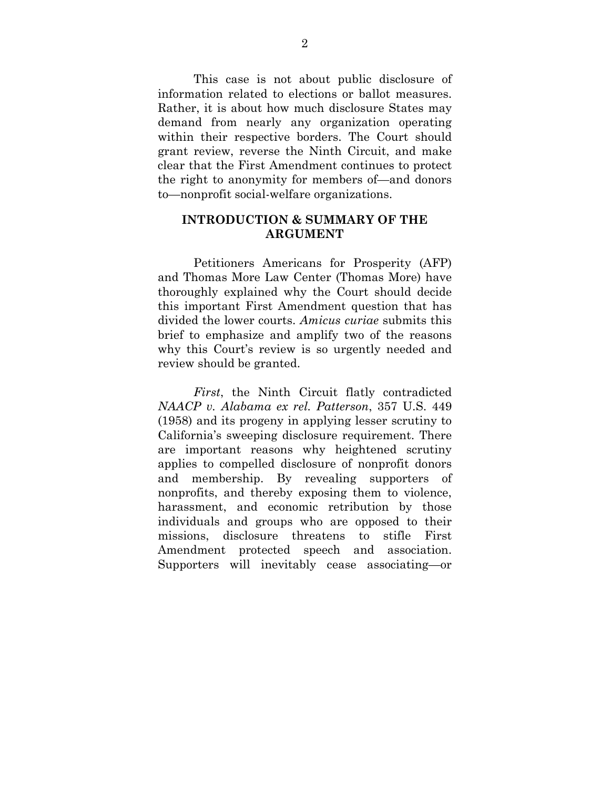This case is not about public disclosure of information related to elections or ballot measures. Rather, it is about how much disclosure States may demand from nearly any organization operating within their respective borders. The Court should grant review, reverse the Ninth Circuit, and make clear that the First Amendment continues to protect the right to anonymity for members of—and donors to—nonprofit social-welfare organizations.

#### **INTRODUCTION & SUMMARY OF THE ARGUMENT**

 Petitioners Americans for Prosperity (AFP) and Thomas More Law Center (Thomas More) have thoroughly explained why the Court should decide this important First Amendment question that has divided the lower courts. *Amicus curiae* submits this brief to emphasize and amplify two of the reasons why this Court's review is so urgently needed and review should be granted.

 *First*, the Ninth Circuit flatly contradicted *NAACP v. Alabama ex rel. Patterson*, 357 U.S. 449 (1958) and its progeny in applying lesser scrutiny to California's sweeping disclosure requirement. There are important reasons why heightened scrutiny applies to compelled disclosure of nonprofit donors and membership. By revealing supporters of nonprofits, and thereby exposing them to violence, harassment, and economic retribution by those individuals and groups who are opposed to their missions, disclosure threatens to stifle First Amendment protected speech and association. Supporters will inevitably cease associating—or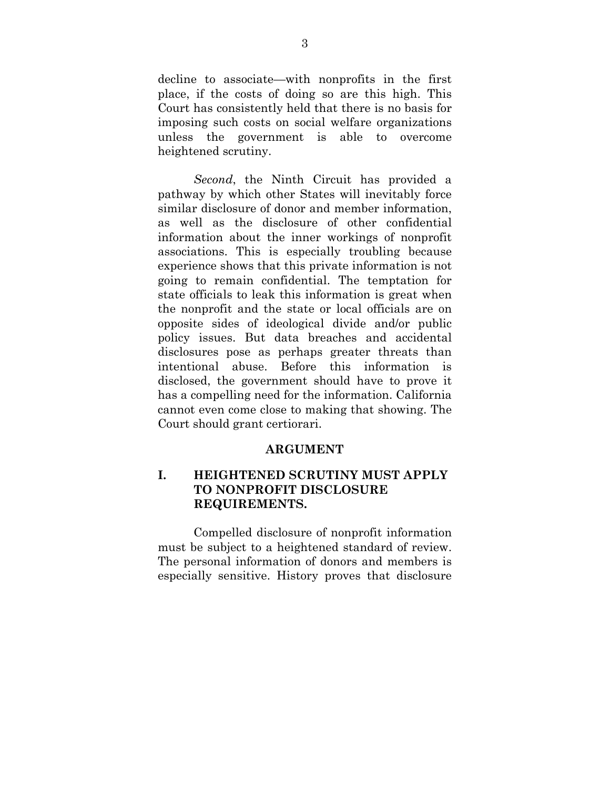decline to associate—with nonprofits in the first place, if the costs of doing so are this high. This Court has consistently held that there is no basis for imposing such costs on social welfare organizations unless the government is able to overcome heightened scrutiny.

 *Second*, the Ninth Circuit has provided a pathway by which other States will inevitably force similar disclosure of donor and member information, as well as the disclosure of other confidential information about the inner workings of nonprofit associations. This is especially troubling because experience shows that this private information is not going to remain confidential. The temptation for state officials to leak this information is great when the nonprofit and the state or local officials are on opposite sides of ideological divide and/or public policy issues. But data breaches and accidental disclosures pose as perhaps greater threats than intentional abuse. Before this information is disclosed, the government should have to prove it has a compelling need for the information. California cannot even come close to making that showing. The Court should grant certiorari.

#### **ARGUMENT**

### **I. HEIGHTENED SCRUTINY MUST APPLY TO NONPROFIT DISCLOSURE REQUIREMENTS.**

 Compelled disclosure of nonprofit information must be subject to a heightened standard of review. The personal information of donors and members is especially sensitive. History proves that disclosure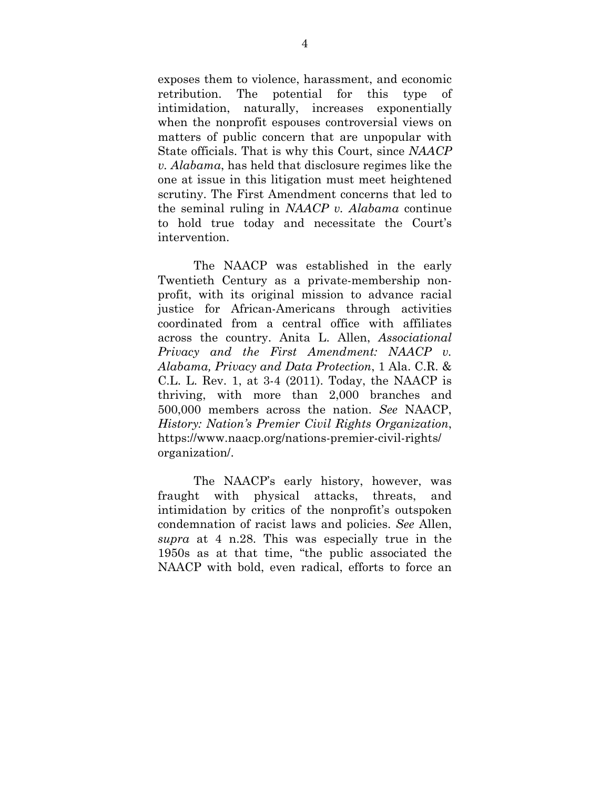exposes them to violence, harassment, and economic retribution. The potential for this type of intimidation, naturally, increases exponentially when the nonprofit espouses controversial views on matters of public concern that are unpopular with State officials. That is why this Court, since *NAACP v. Alabama*, has held that disclosure regimes like the one at issue in this litigation must meet heightened scrutiny. The First Amendment concerns that led to the seminal ruling in *NAACP v. Alabama* continue to hold true today and necessitate the Court's intervention.

 The NAACP was established in the early Twentieth Century as a private-membership nonprofit, with its original mission to advance racial justice for African-Americans through activities coordinated from a central office with affiliates across the country. Anita L. Allen, *Associational Privacy and the First Amendment: NAACP v. Alabama, Privacy and Data Protection*, 1 Ala. C.R. & C.L. L. Rev. 1, at 3-4 (2011). Today, the NAACP is thriving, with more than 2,000 branches and 500,000 members across the nation. *See* NAACP, *History: Nation's Premier Civil Rights Organization*, https://www.naacp.org/nations-premier-civil-rights/ organization/.

 The NAACP's early history, however, was fraught with physical attacks, threats, and intimidation by critics of the nonprofit's outspoken condemnation of racist laws and policies. *See* Allen, *supra* at 4 n.28. This was especially true in the 1950s as at that time, "the public associated the NAACP with bold, even radical, efforts to force an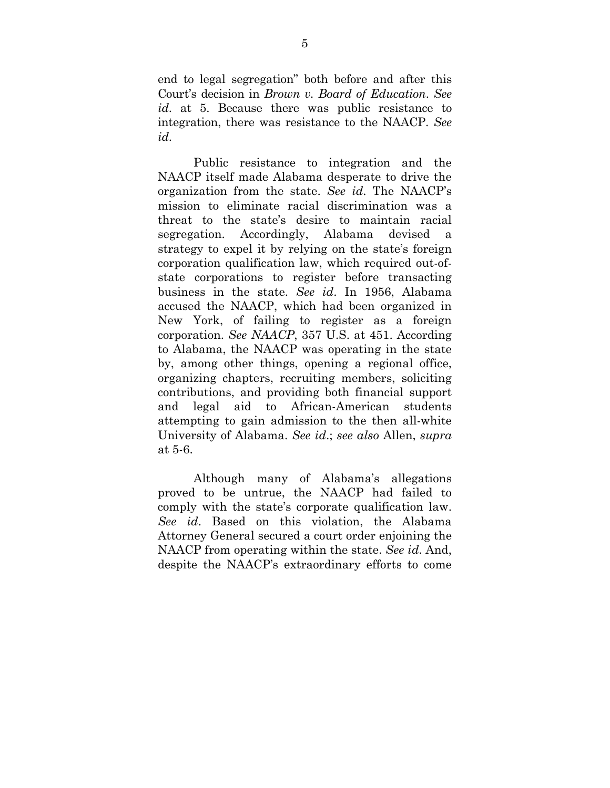end to legal segregation" both before and after this Court's decision in *Brown v. Board of Education*. *See id*. at 5. Because there was public resistance to integration, there was resistance to the NAACP. *See id*.

 Public resistance to integration and the NAACP itself made Alabama desperate to drive the organization from the state. *See id*. The NAACP's mission to eliminate racial discrimination was a threat to the state's desire to maintain racial segregation. Accordingly, Alabama devised a strategy to expel it by relying on the state's foreign corporation qualification law, which required out-ofstate corporations to register before transacting business in the state. *See id*. In 1956, Alabama accused the NAACP, which had been organized in New York, of failing to register as a foreign corporation. *See NAACP*, 357 U.S. at 451. According to Alabama, the NAACP was operating in the state by, among other things, opening a regional office, organizing chapters, recruiting members, soliciting contributions, and providing both financial support and legal aid to African-American students attempting to gain admission to the then all-white University of Alabama. *See id*.; *see also* Allen, *supra* at 5-6.

 Although many of Alabama's allegations proved to be untrue, the NAACP had failed to comply with the state's corporate qualification law. *See id*. Based on this violation, the Alabama Attorney General secured a court order enjoining the NAACP from operating within the state. *See id*. And, despite the NAACP's extraordinary efforts to come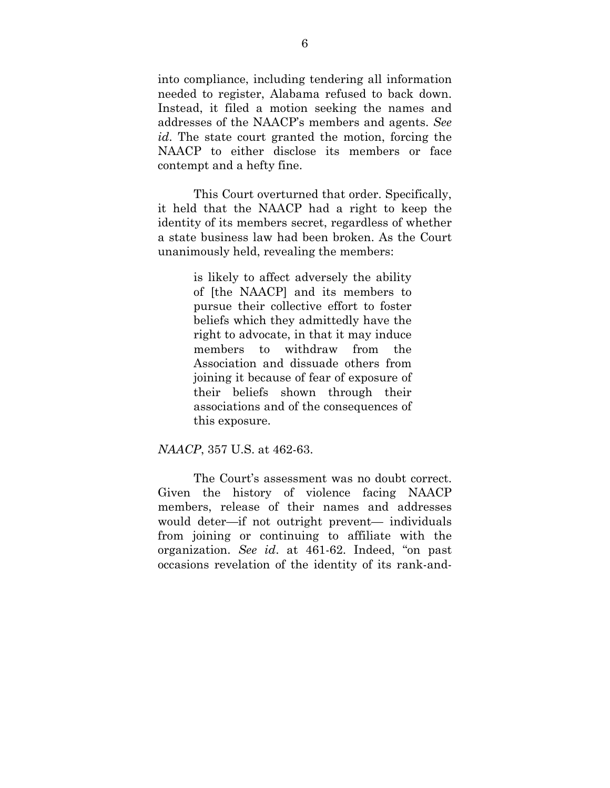into compliance, including tendering all information needed to register, Alabama refused to back down. Instead, it filed a motion seeking the names and addresses of the NAACP's members and agents. *See id*. The state court granted the motion, forcing the NAACP to either disclose its members or face contempt and a hefty fine.

 This Court overturned that order. Specifically, it held that the NAACP had a right to keep the identity of its members secret, regardless of whether a state business law had been broken. As the Court unanimously held, revealing the members:

> is likely to affect adversely the ability of [the NAACP] and its members to pursue their collective effort to foster beliefs which they admittedly have the right to advocate, in that it may induce members to withdraw from the Association and dissuade others from joining it because of fear of exposure of their beliefs shown through their associations and of the consequences of this exposure.

#### *NAACP*, 357 U.S. at 462-63.

 The Court's assessment was no doubt correct. Given the history of violence facing NAACP members, release of their names and addresses would deter—if not outright prevent— individuals from joining or continuing to affiliate with the organization. *See id*. at 461-62. Indeed, "on past occasions revelation of the identity of its rank-and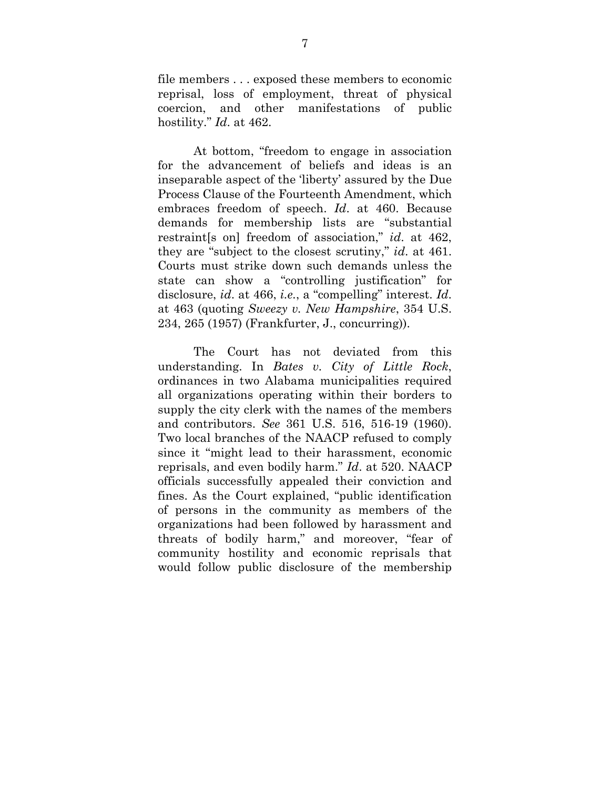file members . . . exposed these members to economic reprisal, loss of employment, threat of physical coercion, and other manifestations of public hostility." *Id*. at 462.

 At bottom, "freedom to engage in association for the advancement of beliefs and ideas is an inseparable aspect of the 'liberty' assured by the Due Process Clause of the Fourteenth Amendment, which embraces freedom of speech. *Id*. at 460. Because demands for membership lists are "substantial restraint[s on] freedom of association," *id*. at 462, they are "subject to the closest scrutiny," *id*. at 461. Courts must strike down such demands unless the state can show a "controlling justification" for disclosure, *id*. at 466, *i.e.*, a "compelling" interest. *Id*. at 463 (quoting *Sweezy v. New Hampshire*, 354 U.S. 234, 265 (1957) (Frankfurter, J., concurring)).

 The Court has not deviated from this understanding. In *Bates v. City of Little Rock*, ordinances in two Alabama municipalities required all organizations operating within their borders to supply the city clerk with the names of the members and contributors. *See* 361 U.S. 516, 516-19 (1960). Two local branches of the NAACP refused to comply since it "might lead to their harassment, economic reprisals, and even bodily harm." *Id*. at 520. NAACP officials successfully appealed their conviction and fines. As the Court explained, "public identification of persons in the community as members of the organizations had been followed by harassment and threats of bodily harm," and moreover, "fear of community hostility and economic reprisals that would follow public disclosure of the membership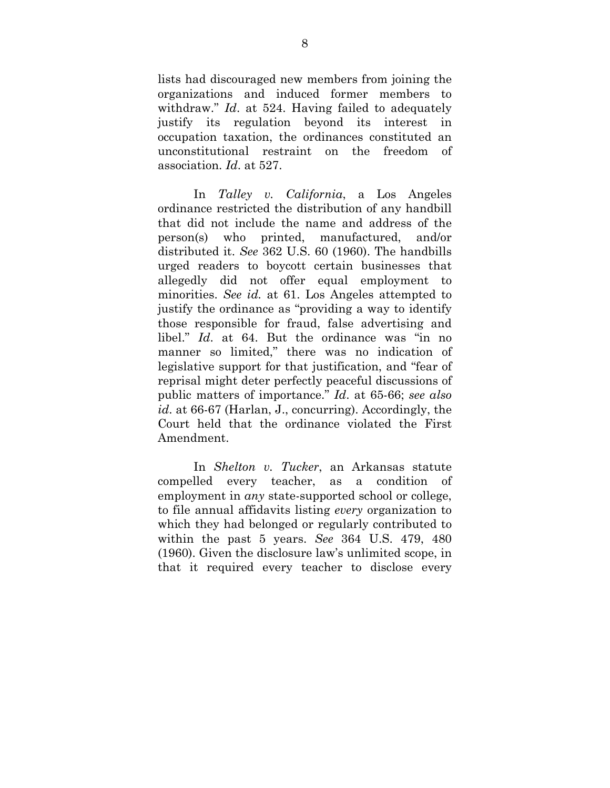lists had discouraged new members from joining the organizations and induced former members to withdraw." *Id*. at 524. Having failed to adequately justify its regulation beyond its interest in occupation taxation, the ordinances constituted an unconstitutional restraint on the freedom of association. *Id*. at 527.

 In *Talley v. California*, a Los Angeles ordinance restricted the distribution of any handbill that did not include the name and address of the person(s) who printed, manufactured, and/or distributed it. *See* 362 U.S. 60 (1960). The handbills urged readers to boycott certain businesses that allegedly did not offer equal employment to minorities. *See id.* at 61. Los Angeles attempted to justify the ordinance as "providing a way to identify those responsible for fraud, false advertising and libel." *Id*. at 64. But the ordinance was "in no manner so limited," there was no indication of legislative support for that justification, and "fear of reprisal might deter perfectly peaceful discussions of public matters of importance." *Id*. at 65-66; *see also id*. at 66-67 (Harlan, J., concurring). Accordingly, the Court held that the ordinance violated the First Amendment.

 In *Shelton v. Tucker*, an Arkansas statute compelled every teacher, as a condition of employment in *any* state-supported school or college, to file annual affidavits listing *every* organization to which they had belonged or regularly contributed to within the past 5 years. *See* 364 U.S. 479, 480 (1960). Given the disclosure law's unlimited scope, in that it required every teacher to disclose every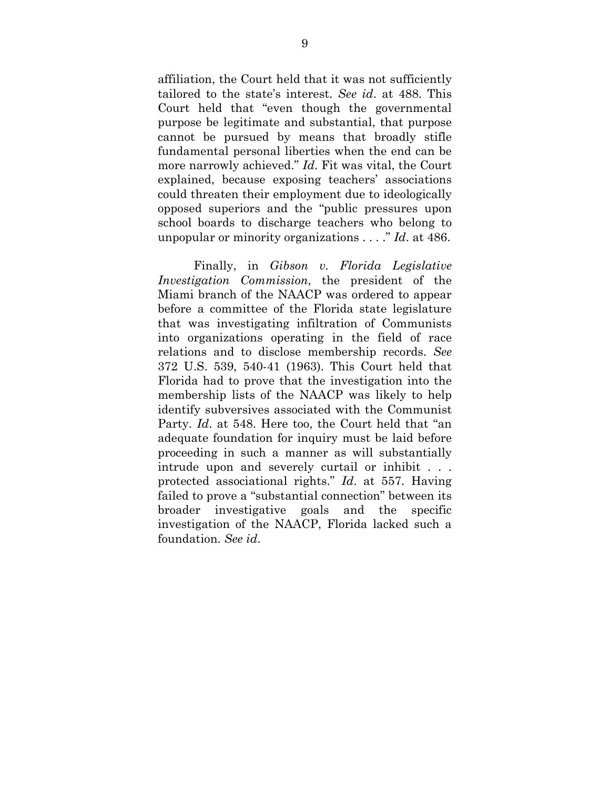affiliation, the Court held that it was not sufficiently tailored to the state's interest. *See id*. at 488. This Court held that "even though the governmental purpose be legitimate and substantial, that purpose cannot be pursued by means that broadly stifle fundamental personal liberties when the end can be more narrowly achieved." *Id*. Fit was vital, the Court explained, because exposing teachers' associations could threaten their employment due to ideologically opposed superiors and the "public pressures upon school boards to discharge teachers who belong to unpopular or minority organizations . . . ." *Id*. at 486.

 Finally, in *Gibson v. Florida Legislative Investigation Commission*, the president of the Miami branch of the NAACP was ordered to appear before a committee of the Florida state legislature that was investigating infiltration of Communists into organizations operating in the field of race relations and to disclose membership records. *See*  372 U.S. 539, 540-41 (1963). This Court held that Florida had to prove that the investigation into the membership lists of the NAACP was likely to help identify subversives associated with the Communist Party. *Id*. at 548. Here too, the Court held that "an adequate foundation for inquiry must be laid before proceeding in such a manner as will substantially intrude upon and severely curtail or inhibit . . . protected associational rights." *Id*. at 557. Having failed to prove a "substantial connection" between its broader investigative goals and the specific investigation of the NAACP, Florida lacked such a foundation. *See id*.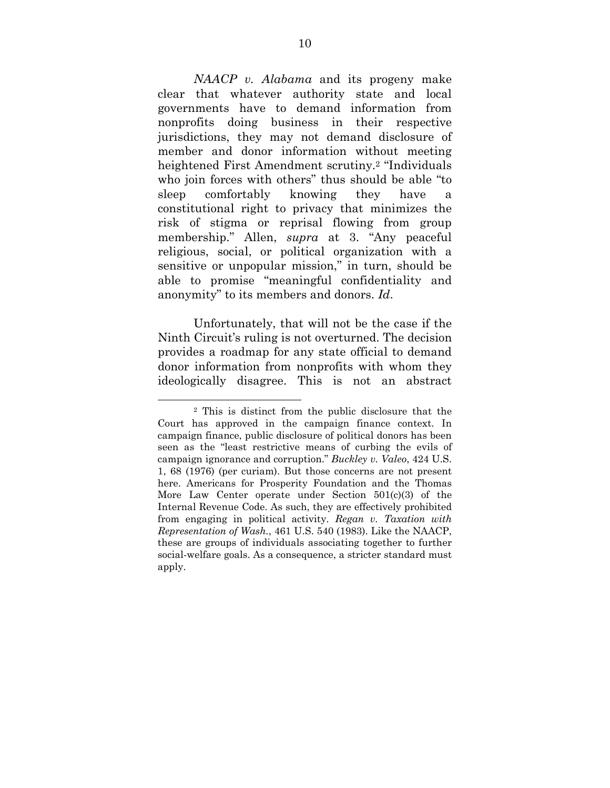*NAACP v. Alabama* and its progeny make clear that whatever authority state and local governments have to demand information from nonprofits doing business in their respective jurisdictions, they may not demand disclosure of member and donor information without meeting heightened First Amendment scrutiny.2 "Individuals who join forces with others" thus should be able "to sleep comfortably knowing they have a constitutional right to privacy that minimizes the risk of stigma or reprisal flowing from group membership." Allen, *supra* at 3. "Any peaceful religious, social, or political organization with a sensitive or unpopular mission," in turn, should be able to promise "meaningful confidentiality and anonymity" to its members and donors. *Id*.

 Unfortunately, that will not be the case if the Ninth Circuit's ruling is not overturned. The decision provides a roadmap for any state official to demand donor information from nonprofits with whom they ideologically disagree. This is not an abstract

l

<sup>2</sup> This is distinct from the public disclosure that the Court has approved in the campaign finance context. In campaign finance, public disclosure of political donors has been seen as the "least restrictive means of curbing the evils of campaign ignorance and corruption." *Buckley v. Valeo*, 424 U.S. 1, 68 (1976) (per curiam). But those concerns are not present here. Americans for Prosperity Foundation and the Thomas More Law Center operate under Section 501(c)(3) of the Internal Revenue Code. As such, they are effectively prohibited from engaging in political activity. *Regan v. Taxation with Representation of Wash.*, 461 U.S. 540 (1983). Like the NAACP, these are groups of individuals associating together to further social-welfare goals. As a consequence, a stricter standard must apply.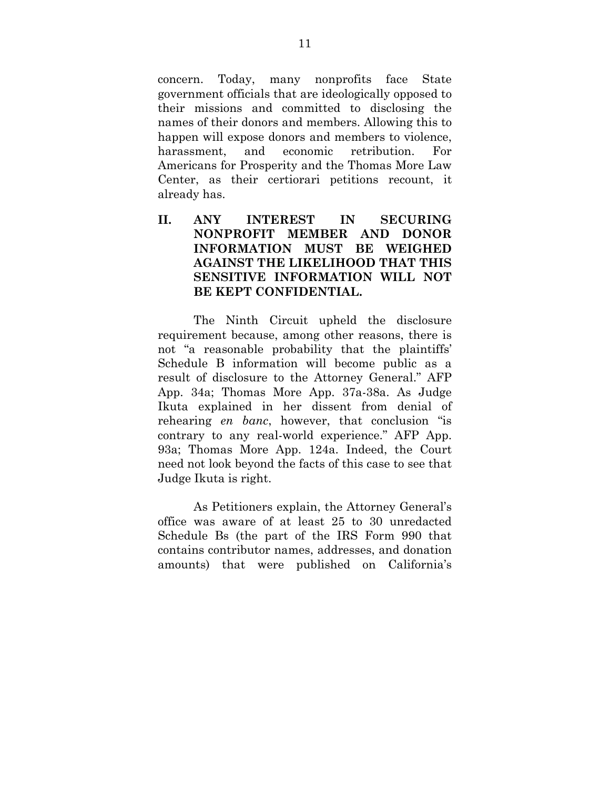concern. Today, many nonprofits face State government officials that are ideologically opposed to their missions and committed to disclosing the names of their donors and members. Allowing this to happen will expose donors and members to violence, harassment, and economic retribution. For Americans for Prosperity and the Thomas More Law Center, as their certiorari petitions recount, it already has.

### **II. ANY INTEREST IN SECURING NONPROFIT MEMBER AND DONOR INFORMATION MUST BE WEIGHED AGAINST THE LIKELIHOOD THAT THIS SENSITIVE INFORMATION WILL NOT BE KEPT CONFIDENTIAL.**

 The Ninth Circuit upheld the disclosure requirement because, among other reasons, there is not "a reasonable probability that the plaintiffs' Schedule B information will become public as a result of disclosure to the Attorney General." AFP App. 34a; Thomas More App. 37a-38a. As Judge Ikuta explained in her dissent from denial of rehearing *en banc*, however, that conclusion "is contrary to any real-world experience." AFP App. 93a; Thomas More App. 124a. Indeed, the Court need not look beyond the facts of this case to see that Judge Ikuta is right.

 As Petitioners explain, the Attorney General's office was aware of at least 25 to 30 unredacted Schedule Bs (the part of the IRS Form 990 that contains contributor names, addresses, and donation amounts) that were published on California's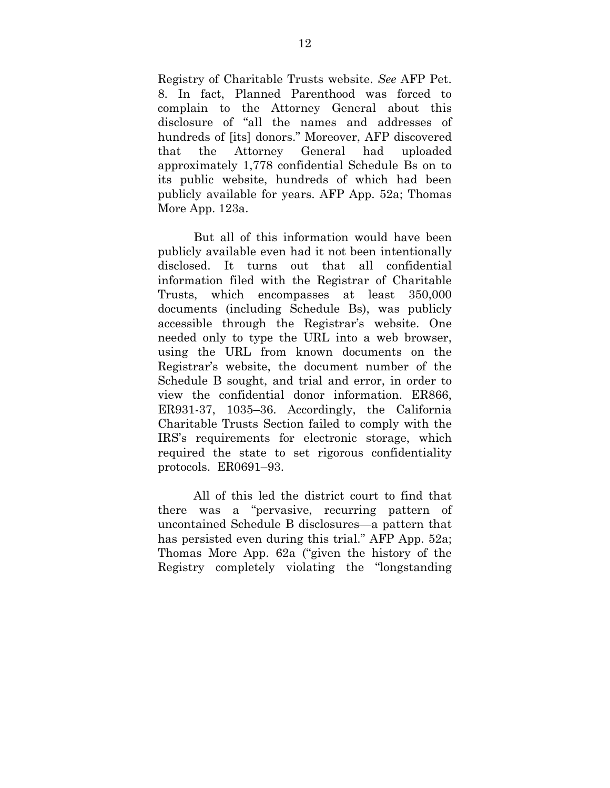Registry of Charitable Trusts website. *See* AFP Pet. 8. In fact, Planned Parenthood was forced to complain to the Attorney General about this disclosure of "all the names and addresses of hundreds of [its] donors." Moreover, AFP discovered that the Attorney General had uploaded approximately 1,778 confidential Schedule Bs on to its public website, hundreds of which had been publicly available for years. AFP App. 52a; Thomas More App. 123a.

 But all of this information would have been publicly available even had it not been intentionally disclosed. It turns out that all confidential information filed with the Registrar of Charitable Trusts, which encompasses at least 350,000 documents (including Schedule Bs), was publicly accessible through the Registrar's website. One needed only to type the URL into a web browser, using the URL from known documents on the Registrar's website, the document number of the Schedule B sought, and trial and error, in order to view the confidential donor information. ER866, ER931-37, 1035–36. Accordingly, the California Charitable Trusts Section failed to comply with the IRS's requirements for electronic storage, which required the state to set rigorous confidentiality protocols. ER0691–93.

 All of this led the district court to find that there was a "pervasive, recurring pattern of uncontained Schedule B disclosures—a pattern that has persisted even during this trial." AFP App. 52a; Thomas More App. 62a ("given the history of the Registry completely violating the "longstanding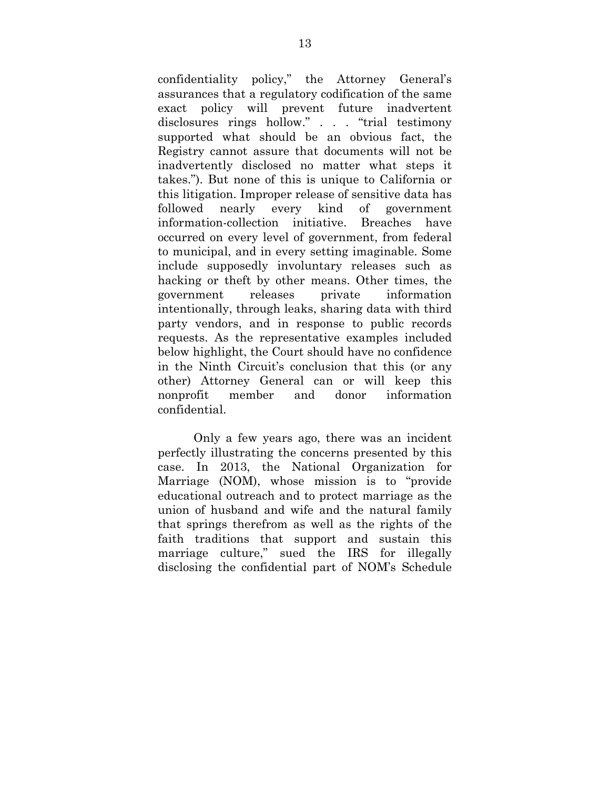confidentiality policy," the Attorney General's assurances that a regulatory codification of the same exact policy will prevent future inadvertent disclosures rings hollow." . . . "trial testimony supported what should be an obvious fact, the Registry cannot assure that documents will not be inadvertently disclosed no matter what steps it takes."). But none of this is unique to California or this litigation. Improper release of sensitive data has followed nearly every kind of government information-collection initiative. Breaches have occurred on every level of government, from federal to municipal, and in every setting imaginable. Some include supposedly involuntary releases such as hacking or theft by other means. Other times, the government releases private information intentionally, through leaks, sharing data with third party vendors, and in response to public records requests. As the representative examples included below highlight, the Court should have no confidence in the Ninth Circuit's conclusion that this (or any other) Attorney General can or will keep this nonprofit member and donor information confidential.

 Only a few years ago, there was an incident perfectly illustrating the concerns presented by this case. In 2013, the National Organization for Marriage (NOM), whose mission is to "provide educational outreach and to protect marriage as the union of husband and wife and the natural family that springs therefrom as well as the rights of the faith traditions that support and sustain this marriage culture," sued the IRS for illegally disclosing the confidential part of NOM's Schedule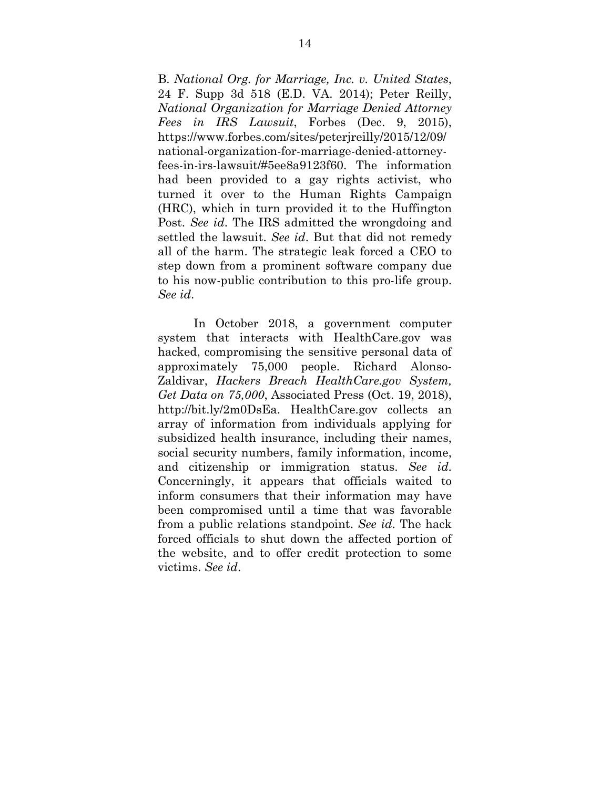B. *National Org. for Marriage, Inc. v. United States*, 24 F. Supp 3d 518 (E.D. VA. 2014); Peter Reilly, *National Organization for Marriage Denied Attorney Fees in IRS Lawsuit*, Forbes (Dec. 9, 2015), https://www.forbes.com/sites/peterjreilly/2015/12/09/ national-organization-for-marriage-denied-attorneyfees-in-irs-lawsuit/#5ee8a9123f60. The information had been provided to a gay rights activist, who turned it over to the Human Rights Campaign (HRC), which in turn provided it to the Huffington Post. *See id*. The IRS admitted the wrongdoing and settled the lawsuit. *See id*. But that did not remedy all of the harm. The strategic leak forced a CEO to step down from a prominent software company due to his now-public contribution to this pro-life group. *See id*.

 In October 2018, a government computer system that interacts with HealthCare.gov was hacked, compromising the sensitive personal data of approximately 75,000 people. Richard Alonso-Zaldivar, *Hackers Breach HealthCare.gov System, Get Data on 75,000*, Associated Press (Oct. 19, 2018), http://bit.ly/2m0DsEa. HealthCare.gov collects an array of information from individuals applying for subsidized health insurance, including their names, social security numbers, family information, income, and citizenship or immigration status. *See id*. Concerningly, it appears that officials waited to inform consumers that their information may have been compromised until a time that was favorable from a public relations standpoint. *See id*. The hack forced officials to shut down the affected portion of the website, and to offer credit protection to some victims. *See id*.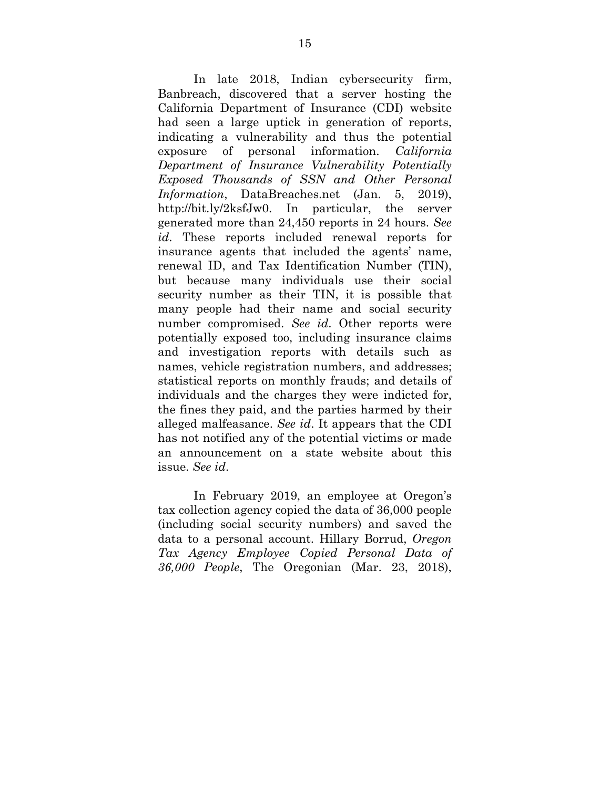In late 2018, Indian cybersecurity firm, Banbreach, discovered that a server hosting the California Department of Insurance (CDI) website had seen a large uptick in generation of reports, indicating a vulnerability and thus the potential exposure of personal information. *California Department of Insurance Vulnerability Potentially Exposed Thousands of SSN and Other Personal Information*, DataBreaches.net (Jan. 5, 2019), http://bit.ly/2ksfJw0. In particular, the server generated more than 24,450 reports in 24 hours. *See id*. These reports included renewal reports for insurance agents that included the agents' name, renewal ID, and Tax Identification Number (TIN), but because many individuals use their social security number as their TIN, it is possible that many people had their name and social security number compromised. *See id*. Other reports were potentially exposed too, including insurance claims and investigation reports with details such as names, vehicle registration numbers, and addresses; statistical reports on monthly frauds; and details of individuals and the charges they were indicted for, the fines they paid, and the parties harmed by their alleged malfeasance. *See id*. It appears that the CDI has not notified any of the potential victims or made an announcement on a state website about this issue. *See id*.

 In February 2019, an employee at Oregon's tax collection agency copied the data of 36,000 people (including social security numbers) and saved the data to a personal account. Hillary Borrud, *Oregon Tax Agency Employee Copied Personal Data of 36,000 People*, The Oregonian (Mar. 23, 2018),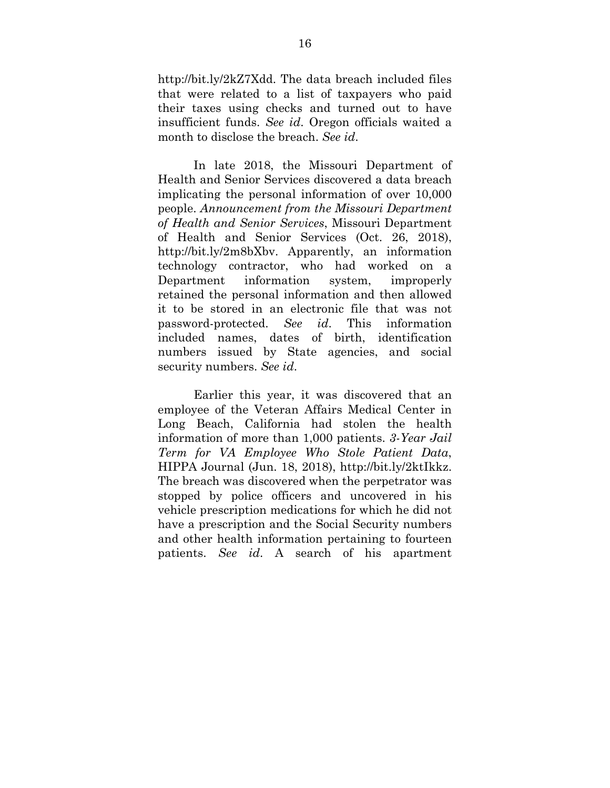http://bit.ly/2kZ7Xdd. The data breach included files that were related to a list of taxpayers who paid their taxes using checks and turned out to have insufficient funds. *See id*. Oregon officials waited a month to disclose the breach. *See id*.

 In late 2018, the Missouri Department of Health and Senior Services discovered a data breach implicating the personal information of over 10,000 people. *Announcement from the Missouri Department of Health and Senior Services*, Missouri Department of Health and Senior Services (Oct. 26, 2018), http://bit.ly/2m8bXbv. Apparently, an information technology contractor, who had worked on a Department information system, improperly retained the personal information and then allowed it to be stored in an electronic file that was not password-protected. *See id*. This information included names, dates of birth, identification numbers issued by State agencies, and social security numbers. *See id*.

 Earlier this year, it was discovered that an employee of the Veteran Affairs Medical Center in Long Beach, California had stolen the health information of more than 1,000 patients. *3-Year Jail Term for VA Employee Who Stole Patient Data*, HIPPA Journal (Jun. 18, 2018), http://bit.ly/2ktIkkz. The breach was discovered when the perpetrator was stopped by police officers and uncovered in his vehicle prescription medications for which he did not have a prescription and the Social Security numbers and other health information pertaining to fourteen patients. *See id*. A search of his apartment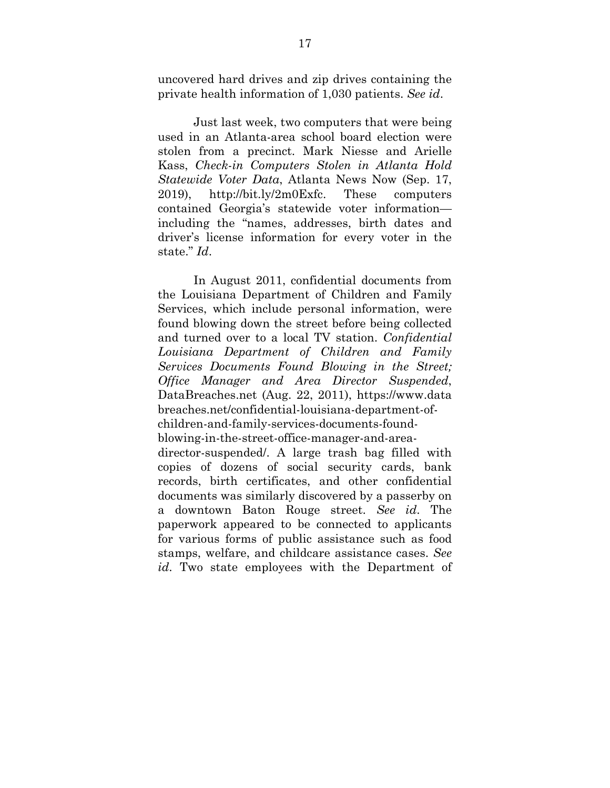uncovered hard drives and zip drives containing the private health information of 1,030 patients. *See id*.

 Just last week, two computers that were being used in an Atlanta-area school board election were stolen from a precinct. Mark Niesse and Arielle Kass, *Check-in Computers Stolen in Atlanta Hold Statewide Voter Data*, Atlanta News Now (Sep. 17, 2019), http://bit.ly/2m0Exfc. These computers contained Georgia's statewide voter information including the "names, addresses, birth dates and driver's license information for every voter in the state." *Id*.

 In August 2011, confidential documents from the Louisiana Department of Children and Family Services, which include personal information, were found blowing down the street before being collected and turned over to a local TV station. *Confidential Louisiana Department of Children and Family Services Documents Found Blowing in the Street; Office Manager and Area Director Suspended*, DataBreaches.net (Aug. 22, 2011), https://www.data breaches.net/confidential-louisiana-department-ofchildren-and-family-services-documents-foundblowing-in-the-street-office-manager-and-areadirector-suspended/. A large trash bag filled with copies of dozens of social security cards, bank records, birth certificates, and other confidential documents was similarly discovered by a passerby on

a downtown Baton Rouge street. *See id*. The paperwork appeared to be connected to applicants for various forms of public assistance such as food stamps, welfare, and childcare assistance cases. *See id*. Two state employees with the Department of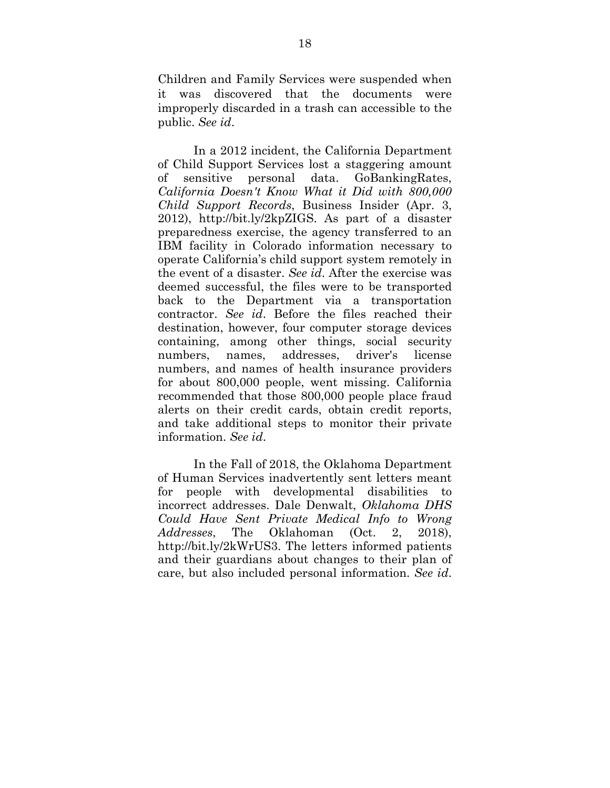Children and Family Services were suspended when it was discovered that the documents were improperly discarded in a trash can accessible to the public. *See id*.

 In a 2012 incident, the California Department of Child Support Services lost a staggering amount of sensitive personal data. GoBankingRates, *California Doesn't Know What it Did with 800,000 Child Support Records*, Business Insider (Apr. 3, 2012), http://bit.ly/2kpZIGS. As part of a disaster preparedness exercise, the agency transferred to an IBM facility in Colorado information necessary to operate California's child support system remotely in the event of a disaster. *See id*. After the exercise was deemed successful, the files were to be transported back to the Department via a transportation contractor. *See id*. Before the files reached their destination, however, four computer storage devices containing, among other things, social security numbers, names, addresses, driver's license numbers, and names of health insurance providers for about 800,000 people, went missing. California recommended that those 800,000 people place fraud alerts on their credit cards, obtain credit reports, and take additional steps to monitor their private information. *See id*.

 In the Fall of 2018, the Oklahoma Department of Human Services inadvertently sent letters meant for people with developmental disabilities to incorrect addresses. Dale Denwalt, *Oklahoma DHS Could Have Sent Private Medical Info to Wrong Addresses*, The Oklahoman (Oct. 2, 2018), http://bit.ly/2kWrUS3. The letters informed patients and their guardians about changes to their plan of care, but also included personal information. *See id*.